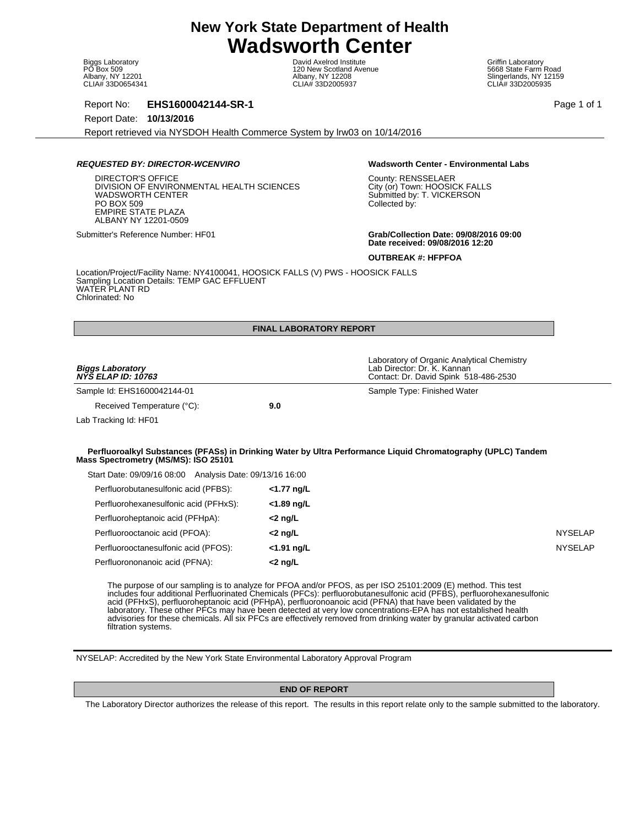Biggs Laboratory PO Box 509 Albany, NY 12201 CLIA# 33D0654341

David Axelrod Institute 120 New Scotland Avenue Albany, NY 12208 CLIA# 33D2005937

Griffin Laboratory 5668 State Farm Road Slingerlands, NY 12159 CLIA# 33D2005935

Report No: **EHS1600042144-SR-1** Page 1 of 1

Report Date: **10/13/2016**

Report retrieved via NYSDOH Health Commerce System by lrw03 on 10/14/2016

## **REQUESTED BY: DIRECTOR-WCENVIRO Wadsworth Center - Environmental Labs**

DIRECTOR'S OFFICE DIVISION OF ENVIRONMENTAL HEALTH SCIENCES WADSWORTH CENTER PO BOX 509 EMPIRE STATE PLAZA ALBANY NY 12201-0509

County: RENSSELAER City (or) Town: HOOSICK FALLS Submitted by: T. VICKERSON Collected by:

Submitter's Reference Number: HF01 **Grab/Collection Date: 09/08/2016 09:00 Date received: 09/08/2016 12:20**

**OUTBREAK #: HFPFOA**

Location/Project/Facility Name: NY4100041, HOOSICK FALLS (V) PWS - HOOSICK FALLS Sampling Location Details: TEMP GAC EFFLUENT WATER PLANT RD Chlorinated: No

|                                                          | <b>FINAL LABORATORY REPORT</b> |                                                                                                                                                                                                                                                                                                                                                      |                |
|----------------------------------------------------------|--------------------------------|------------------------------------------------------------------------------------------------------------------------------------------------------------------------------------------------------------------------------------------------------------------------------------------------------------------------------------------------------|----------------|
|                                                          |                                | Laboratory of Organic Analytical Chemistry                                                                                                                                                                                                                                                                                                           |                |
| <b>Biggs Laboratory</b><br><b>NYS ELAP ID: 10763</b>     |                                | Lab Director: Dr. K. Kannan<br>Contact: Dr. David Spink 518-486-2530                                                                                                                                                                                                                                                                                 |                |
| Sample Id: EHS1600042144-01                              |                                | Sample Type: Finished Water                                                                                                                                                                                                                                                                                                                          |                |
| Received Temperature (°C):                               | 9.0                            |                                                                                                                                                                                                                                                                                                                                                      |                |
| Lab Tracking Id: HF01                                    |                                |                                                                                                                                                                                                                                                                                                                                                      |                |
|                                                          |                                |                                                                                                                                                                                                                                                                                                                                                      |                |
| Mass Spectrometry (MS/MS): ISO 25101                     |                                | Perfluoroalkyl Substances (PFASs) in Drinking Water by Ultra Performance Liquid Chromatography (UPLC) Tandem                                                                                                                                                                                                                                         |                |
| Start Date: 09/09/16 08:00 Analysis Date: 09/13/16 16:00 |                                |                                                                                                                                                                                                                                                                                                                                                      |                |
| Perfluorobutanesulfonic acid (PFBS):                     | <1.77 ng/L                     |                                                                                                                                                                                                                                                                                                                                                      |                |
| Perfluorohexanesulfonic acid (PFHxS):                    | <1.89 ng/L                     |                                                                                                                                                                                                                                                                                                                                                      |                |
| Perfluoroheptanoic acid (PFHpA):                         | $<$ 2 ng/L                     |                                                                                                                                                                                                                                                                                                                                                      |                |
| Perfluorooctanoic acid (PFOA):                           | $<$ 2 ng/L                     |                                                                                                                                                                                                                                                                                                                                                      | <b>NYSELAP</b> |
| Perfluorooctanesulfonic acid (PFOS):                     | <1.91 ng/L                     |                                                                                                                                                                                                                                                                                                                                                      | <b>NYSELAP</b> |
| Perfluorononanoic acid (PFNA):                           | $<$ 2 ng/L                     |                                                                                                                                                                                                                                                                                                                                                      |                |
|                                                          |                                | The purpose of our sampling is to analyze for PFOA and/or PFOS, as per ISO 25101:2009 (E) method. This test<br>includes four additional Perfluorinated Chemicals (PFCs): perfluorobutanesulfonic acid (PFBS), perfluorohexanesulfonic<br>acid (PFHxS), perfluoroheptanoic acid (PFHpA), perfluoronoanoic acid (PFNA) that have been validated by the |                |

laboratory. These other PFCs may have been detected at very low concentrations-EPA has not established health advisories for these chemicals. All six PFCs are effectively removed from drinking water by granular activated carbon filtration systems.

NYSELAP: Accredited by the New York State Environmental Laboratory Approval Program

# **END OF REPORT**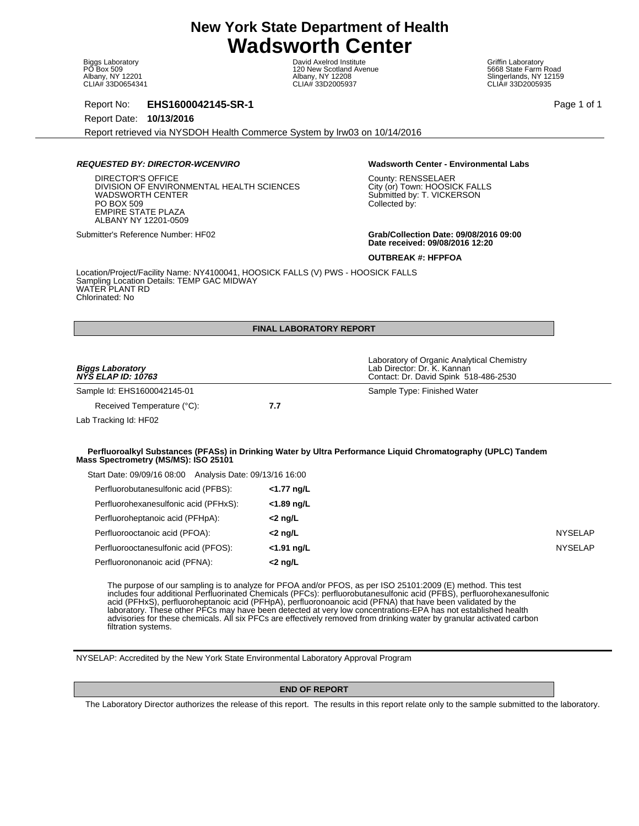Biggs Laboratory PO Box 509 Albany, NY 12201 CLIA# 33D0654341

David Axelrod Institute 120 New Scotland Avenue Albany, NY 12208 CLIA# 33D2005937

Griffin Laboratory 5668 State Farm Road Slingerlands, NY 12159 CLIA# 33D2005935

Report No: **EHS1600042145-SR-1** Page 1 of 1

Report Date: **10/13/2016**

Report retrieved via NYSDOH Health Commerce System by lrw03 on 10/14/2016

## **REQUESTED BY: DIRECTOR-WCENVIRO Wadsworth Center - Environmental Labs**

DIRECTOR'S OFFICE DIVISION OF ENVIRONMENTAL HEALTH SCIENCES WADSWORTH CENTER PO BOX 509 EMPIRE STATE PLAZA ALBANY NY 12201-0509

County: RENSSELAER City (or) Town: HOOSICK FALLS Submitted by: T. VICKERSON Collected by:

Submitter's Reference Number: HF02 **Grab/Collection Date: 09/08/2016 09:00 Date received: 09/08/2016 12:20**

**OUTBREAK #: HFPFOA**

Location/Project/Facility Name: NY4100041, HOOSICK FALLS (V) PWS - HOOSICK FALLS Sampling Location Details: TEMP GAC MIDWAY WATER PLANT RD Chlorinated: No

|                                                                                                                                                                                                                            | <b>FINAL LABORATORY REPORT</b> |                                                                                                                                                                                                                                          |                |
|----------------------------------------------------------------------------------------------------------------------------------------------------------------------------------------------------------------------------|--------------------------------|------------------------------------------------------------------------------------------------------------------------------------------------------------------------------------------------------------------------------------------|----------------|
|                                                                                                                                                                                                                            |                                |                                                                                                                                                                                                                                          |                |
| <b>Biggs Laboratory</b><br><b>NYS ELAP ID: 10763</b>                                                                                                                                                                       |                                | Laboratory of Organic Analytical Chemistry<br>Lab Director: Dr. K. Kannan<br>Contact: Dr. David Spink 518-486-2530                                                                                                                       |                |
| Sample Id: EHS1600042145-01                                                                                                                                                                                                |                                | Sample Type: Finished Water                                                                                                                                                                                                              |                |
| Received Temperature (°C):                                                                                                                                                                                                 | 7.7                            |                                                                                                                                                                                                                                          |                |
| Lab Tracking Id: HF02                                                                                                                                                                                                      |                                |                                                                                                                                                                                                                                          |                |
|                                                                                                                                                                                                                            |                                |                                                                                                                                                                                                                                          |                |
| Mass Spectrometry (MS/MS): ISO 25101                                                                                                                                                                                       |                                | Perfluoroalkyl Substances (PFASs) in Drinking Water by Ultra Performance Liquid Chromatography (UPLC) Tandem                                                                                                                             |                |
| Start Date: 09/09/16 08:00 Analysis Date: 09/13/16 16:00                                                                                                                                                                   |                                |                                                                                                                                                                                                                                          |                |
| Perfluorobutanesulfonic acid (PFBS):                                                                                                                                                                                       | <1.77 ng/L                     |                                                                                                                                                                                                                                          |                |
| Perfluorohexanesulfonic acid (PFHxS):                                                                                                                                                                                      | <1.89 ng/L                     |                                                                                                                                                                                                                                          |                |
| Perfluoroheptanoic acid (PFHpA):                                                                                                                                                                                           | $<$ 2 ng/L                     |                                                                                                                                                                                                                                          |                |
| Perfluorooctanoic acid (PFOA):                                                                                                                                                                                             | $<$ 2 ng/L                     |                                                                                                                                                                                                                                          | <b>NYSELAP</b> |
| Perfluorooctanesulfonic acid (PFOS):                                                                                                                                                                                       | $<$ 1.91 ng/L                  |                                                                                                                                                                                                                                          | <b>NYSELAP</b> |
| Perfluorononanoic acid (PFNA):                                                                                                                                                                                             | $<$ 2 ng/L                     |                                                                                                                                                                                                                                          |                |
| The purpose of our sampling is to analyze for PFOA and/or PFOS, as per ISO 25101:2009 (E) method. This test<br>acid (PFHxS), perfluoroheptanoic acid (PFHpA), perfluoronoanoic acid (PFNA) that have been validated by the |                                | includes four additional Perfluorinated Chemicals (PFCs): perfluorobutanesulfonic acid (PFBS), perfluorohexanesulfonic<br>laboratory. Those other DECs move boys boon detected at yory low concentrations EDA bee not established boolth |                |

laboratory. These other PFCs may have been detected at very low concentrations-EPA has not established health advisories for these chemicals. All six PFCs are effectively removed from drinking water by granular activated carbon filtration systems.

NYSELAP: Accredited by the New York State Environmental Laboratory Approval Program

# **END OF REPORT**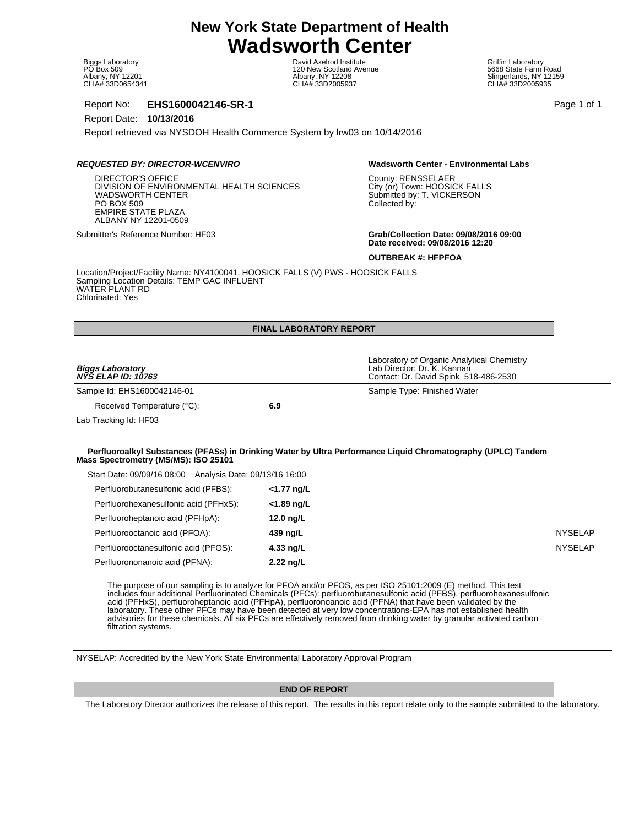Biggs Laboratory PO Box 509 Albany, NY 12201 CLIA# 33D0654341

David Axelrod Institute 120 New Scotland Avenue Albany, NY 12208 CLIA# 33D2005937

Griffin Laboratory 5668 State Farm Road Slingerlands, NY 12159 CLIA# 33D2005935

Report No: **EHS1600042146-SR-1** Page 1 of 1

Report Date: **10/13/2016**

Report retrieved via NYSDOH Health Commerce System by lrw03 on 10/14/2016

## **REQUESTED BY: DIRECTOR-WCENVIRO Wadsworth Center - Environmental Labs**

DIRECTOR'S OFFICE DIVISION OF ENVIRONMENTAL HEALTH SCIENCES WADSWORTH CENTER PO BOX 509 EMPIRE STATE PLAZA ALBANY NY 12201-0509

County: RENSSELAER City (or) Town: HOOSICK FALLS Submitted by: T. VICKERSON Collected by:

Submitter's Reference Number: HF03 **Grab/Collection Date: 09/08/2016 09:00 Date received: 09/08/2016 12:20**

**OUTBREAK #: HFPFOA**

Location/Project/Facility Name: NY4100041, HOOSICK FALLS (V) PWS - HOOSICK FALLS Sampling Location Details: TEMP GAC INFLUENT WATER PLANT RD Chlorinated: Yes

|                                                          | <b>FINAL LABORATORY REPORT</b> |                                                                                                                                                                                                                                                                                                                                                                                                                                                                       |                |
|----------------------------------------------------------|--------------------------------|-----------------------------------------------------------------------------------------------------------------------------------------------------------------------------------------------------------------------------------------------------------------------------------------------------------------------------------------------------------------------------------------------------------------------------------------------------------------------|----------------|
|                                                          |                                |                                                                                                                                                                                                                                                                                                                                                                                                                                                                       |                |
| <b>Biggs Laboratory</b><br><b>NYS ELAP ID: 10763</b>     |                                | Laboratory of Organic Analytical Chemistry<br>Lab Director: Dr. K. Kannan<br>Contact: Dr. David Spink 518-486-2530                                                                                                                                                                                                                                                                                                                                                    |                |
| Sample Id: EHS1600042146-01                              |                                | Sample Type: Finished Water                                                                                                                                                                                                                                                                                                                                                                                                                                           |                |
| Received Temperature (°C):                               | 6.9                            |                                                                                                                                                                                                                                                                                                                                                                                                                                                                       |                |
| Lab Tracking Id: HF03                                    |                                |                                                                                                                                                                                                                                                                                                                                                                                                                                                                       |                |
|                                                          |                                |                                                                                                                                                                                                                                                                                                                                                                                                                                                                       |                |
| Mass Spectrometry (MS/MS): ISO 25101                     |                                | Perfluoroalkyl Substances (PFASs) in Drinking Water by Ultra Performance Liquid Chromatography (UPLC) Tandem                                                                                                                                                                                                                                                                                                                                                          |                |
| Start Date: 09/09/16 08:00 Analysis Date: 09/13/16 16:00 |                                |                                                                                                                                                                                                                                                                                                                                                                                                                                                                       |                |
| Perfluorobutanesulfonic acid (PFBS):                     | $<$ 1.77 ng/L                  |                                                                                                                                                                                                                                                                                                                                                                                                                                                                       |                |
| Perfluorohexanesulfonic acid (PFHxS):                    | <1.89 ng/L                     |                                                                                                                                                                                                                                                                                                                                                                                                                                                                       |                |
| Perfluoroheptanoic acid (PFHpA):                         | 12.0 $\frac{1}{2}$             |                                                                                                                                                                                                                                                                                                                                                                                                                                                                       |                |
| Perfluorooctanoic acid (PFOA):                           | 439 ng/L                       |                                                                                                                                                                                                                                                                                                                                                                                                                                                                       | <b>NYSELAP</b> |
| Perfluorooctanesulfonic acid (PFOS):                     | 4.33 ng/L                      |                                                                                                                                                                                                                                                                                                                                                                                                                                                                       | <b>NYSELAP</b> |
| Perfluorononanoic acid (PFNA):                           | 2.22 ng/L                      |                                                                                                                                                                                                                                                                                                                                                                                                                                                                       |                |
|                                                          |                                | The purpose of our sampling is to analyze for PFOA and/or PFOS, as per ISO 25101:2009 (E) method. This test<br>includes four additional Perfluorinated Chemicals (PFCs): perfluorobutanesulfonic acid (PFBS), perfluorohexanesulfonic<br>acid (PFHxS), perfluoroheptanoic acid (PFHpA), perfluoronoanoic acid (PFNA) that have been validated by the<br>laboratory. These other PFCs may have been detected at very low concentrations-EPA has not established health |                |

advisories for these chemicals. All six PFCs are effectively removed from drinking water by granular activated carbon filtration systems.

NYSELAP: Accredited by the New York State Environmental Laboratory Approval Program

# **END OF REPORT**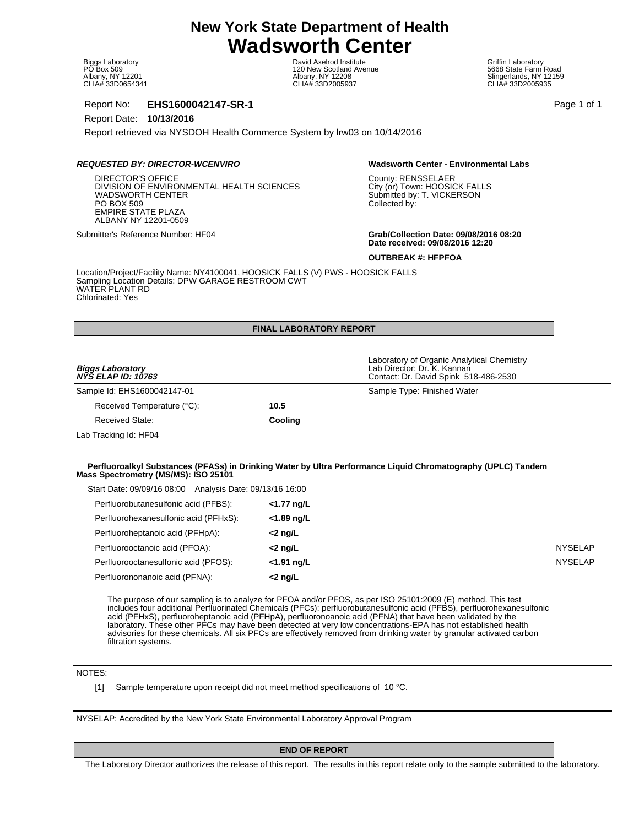Biggs Laboratory PO Box 509 Albany, NY 12201 CLIA# 33D0654341

David Axelrod Institute 120 New Scotland Avenue Albany, NY 12208 CLIA# 33D2005937

Griffin Laboratory 5668 State Farm Road Slingerlands, NY 12159 CLIA# 33D2005935

Report No: **EHS1600042147-SR-1** Page 1 of 1

Report Date: **10/13/2016**

Report retrieved via NYSDOH Health Commerce System by lrw03 on 10/14/2016

## **REQUESTED BY: DIRECTOR-WCENVIRO Wadsworth Center - Environmental Labs**

DIRECTOR'S OFFICE DIVISION OF ENVIRONMENTAL HEALTH SCIENCES WADSWORTH CENTER PO BOX 509 EMPIRE STATE PLAZA ALBANY NY 12201-0509

County: RENSSELAER City (or) Town: HOOSICK FALLS Submitted by: T. VICKERSON Collected by:

Submitter's Reference Number: HF04 **Grab/Collection Date: 09/08/2016 08:20 Date received: 09/08/2016 12:20**

**OUTBREAK #: HFPFOA**

Location/Project/Facility Name: NY4100041, HOOSICK FALLS (V) PWS - HOOSICK FALLS Sampling Location Details: DPW GARAGE RESTROOM CWT WATER PLANT RD Chlorinated: Yes

## **FINAL LABORATORY REPORT**

| <b>Biggs Laboratory</b><br><b>NYS ELAP ID: 10763</b>                                             |            | Laboratory of Organic Analytical Chemistry<br>Lab Director: Dr. K. Kannan<br>Contact: Dr. David Spink 518-486-2530 |                |
|--------------------------------------------------------------------------------------------------|------------|--------------------------------------------------------------------------------------------------------------------|----------------|
| Sample Id: EHS1600042147-01                                                                      |            | Sample Type: Finished Water                                                                                        |                |
| Received Temperature (°C):                                                                       | 10.5       |                                                                                                                    |                |
| <b>Received State:</b>                                                                           | Cooling    |                                                                                                                    |                |
| Lab Tracking Id: HF04                                                                            |            |                                                                                                                    |                |
| Mass Spectrometry (MS/MS): ISO 25101<br>Start Date: 09/09/16 08:00 Analysis Date: 09/13/16 16:00 |            | Perfluoroalkyl Substances (PFASs) in Drinking Water by Ultra Performance Liquid Chromatography (UPLC) Tandem       |                |
| Perfluorobutanesulfonic acid (PFBS):                                                             | <1.77 ng/L |                                                                                                                    |                |
| Perfluorohexanesulfonic acid (PFHxS):                                                            | <1.89 ng/L |                                                                                                                    |                |
| Perfluoroheptanoic acid (PFHpA):                                                                 | $<$ 2 ng/L |                                                                                                                    |                |
| Perfluorooctanoic acid (PFOA):                                                                   | $<$ 2 ng/L |                                                                                                                    | <b>NYSELAP</b> |
| Perfluorooctanesulfonic acid (PFOS):                                                             | <1.91 ng/L |                                                                                                                    | <b>NYSELAP</b> |
| Perfluorononanoic acid (PFNA):                                                                   | <2 ng/L    |                                                                                                                    |                |

The purpose of our sampling is to analyze for PFOA and/or PFOS, as per ISO 25101:2009 (E) method. This test includes four additional Perfluorinated Chemicals (PFCs): perfluorobutanesulfonic acid (PFBS), perfluorohexanesulfonic acid (PFHxS), perfluoroheptanoic acid (PFHpA), perfluoronoanoic acid (PFNA) that have been validated by the laboratory. These other PFCs may have been detected at very low concentrations-EPA has not established health advisories for these chemicals. All six PFCs are effectively removed from drinking water by granular activated carbon filtration systems.

# NOTES:

[1] Sample temperature upon receipt did not meet method specifications of 10 °C.

NYSELAP: Accredited by the New York State Environmental Laboratory Approval Program

**END OF REPORT**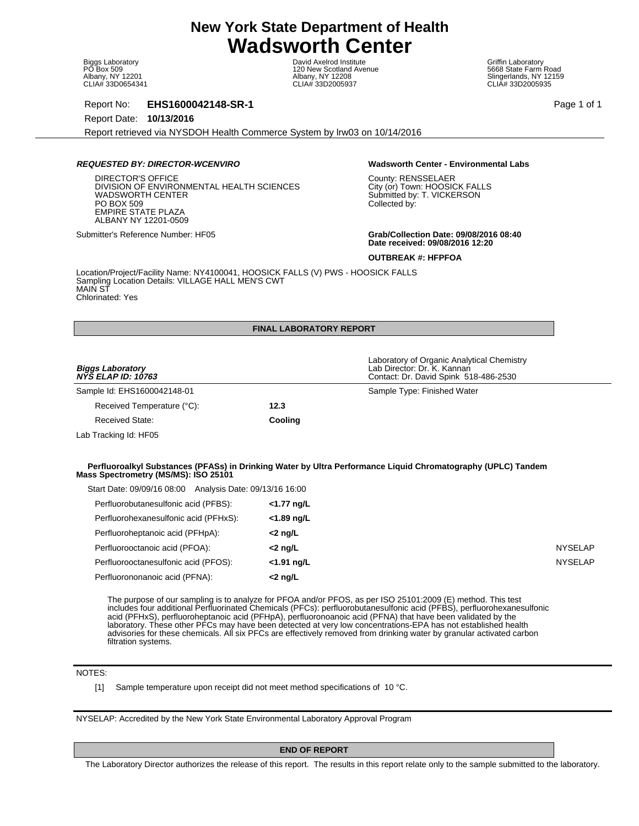Biggs Laboratory PO Box 509 Albany, NY 12201 CLIA# 33D0654341

David Axelrod Institute 120 New Scotland Avenue Albany, NY 12208 CLIA# 33D2005937

Griffin Laboratory 5668 State Farm Road Slingerlands, NY 12159 CLIA# 33D2005935

Report No: **EHS1600042148-SR-1** Page 1 of 1

Report Date: **10/13/2016**

Report retrieved via NYSDOH Health Commerce System by lrw03 on 10/14/2016

## **REQUESTED BY: DIRECTOR-WCENVIRO Wadsworth Center - Environmental Labs**

DIRECTOR'S OFFICE DIVISION OF ENVIRONMENTAL HEALTH SCIENCES WADSWORTH CENTER PO BOX 509 EMPIRE STATE PLAZA ALBANY NY 12201-0509

County: RENSSELAER City (or) Town: HOOSICK FALLS Submitted by: T. VICKERSON Collected by:

Submitter's Reference Number: HF05 **Grab/Collection Date: 09/08/2016 08:40 Date received: 09/08/2016 12:20**

**OUTBREAK #: HFPFOA**

Location/Project/Facility Name: NY4100041, HOOSICK FALLS (V) PWS - HOOSICK FALLS Sampling Location Details: VILLAGE HALL MEN'S CWT MAIN ST Chlorinated: Yes

## **FINAL LABORATORY REPORT**

| <b>Biggs Laboratory</b><br><b>NYS ELAP ID: 10763</b>                                                                                     |            | Laboratory of Organic Analytical Chemistry<br>Lab Director: Dr. K. Kannan<br>Contact: Dr. David Spink 518-486-2530 |                |
|------------------------------------------------------------------------------------------------------------------------------------------|------------|--------------------------------------------------------------------------------------------------------------------|----------------|
| Sample Id: EHS1600042148-01                                                                                                              |            | Sample Type: Finished Water                                                                                        |                |
| Received Temperature (°C):                                                                                                               | 12.3       |                                                                                                                    |                |
| Received State:                                                                                                                          | Cooling    |                                                                                                                    |                |
| Lab Tracking Id: HF05                                                                                                                    |            |                                                                                                                    |                |
| Mass Spectrometry (MS/MS): ISO 25101<br>Start Date: 09/09/16 08:00 Analysis Date: 09/13/16 16:00<br>Perfluorobutanesulfonic acid (PFBS): | <1.77 ng/L | Perfluoroalkyl Substances (PFASs) in Drinking Water by Ultra Performance Liquid Chromatography (UPLC) Tandem       |                |
| Perfluorohexanesulfonic acid (PFHxS):                                                                                                    | <1.89 ng/L |                                                                                                                    |                |
| Perfluoroheptanoic acid (PFHpA):                                                                                                         | $<$ 2 ng/L |                                                                                                                    |                |
| Perfluorooctanoic acid (PFOA):                                                                                                           | $<$ 2 ng/L |                                                                                                                    | <b>NYSELAP</b> |
| Perfluorooctanesulfonic acid (PFOS):                                                                                                     | <1.91 ng/L |                                                                                                                    | <b>NYSELAP</b> |
| Perfluorononanoic acid (PFNA):                                                                                                           | $<$ 2 ng/L |                                                                                                                    |                |

The purpose of our sampling is to analyze for PFOA and/or PFOS, as per ISO 25101:2009 (E) method. This test includes four additional Perfluorinated Chemicals (PFCs): perfluorobutanesulfonic acid (PFBS), perfluorohexanesulfonic acid (PFHxS), perfluoroheptanoic acid (PFHpA), perfluoronoanoic acid (PFNA) that have been validated by the laboratory. These other PFCs may have been detected at very low concentrations-EPA has not established health advisories for these chemicals. All six PFCs are effectively removed from drinking water by granular activated carbon filtration systems.

# NOTES:

[1] Sample temperature upon receipt did not meet method specifications of 10 °C.

NYSELAP: Accredited by the New York State Environmental Laboratory Approval Program

**END OF REPORT**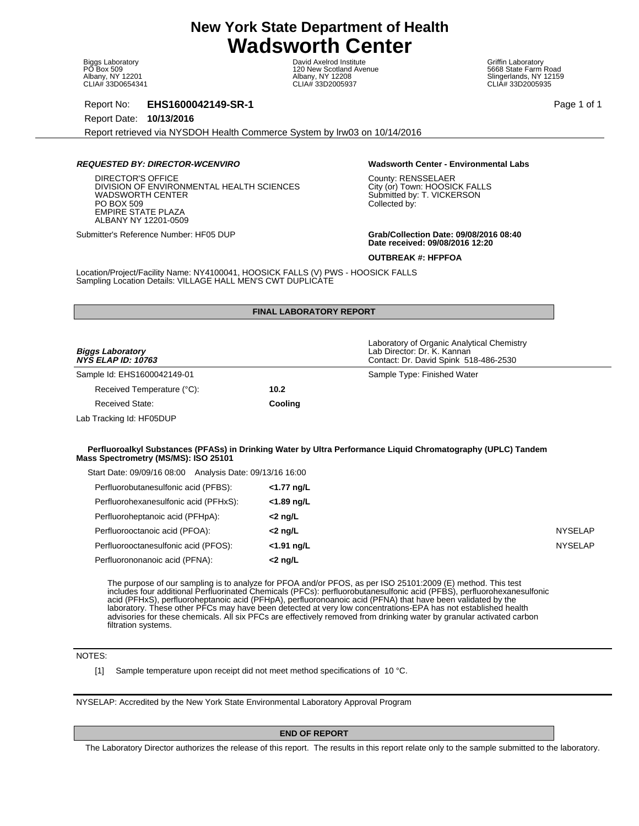Biggs Laboratory PO Box 509 Albany, NY 12201 CLIA# 33D0654341

David Axelrod Institute 120 New Scotland Avenue Albany, NY 12208 CLIA# 33D2005937

Griffin Laboratory 5668 State Farm Road Slingerlands, NY 12159 CLIA# 33D2005935

Report No: **EHS1600042149-SR-1** Page 1 of 1

Report Date: **10/13/2016**

Report retrieved via NYSDOH Health Commerce System by lrw03 on 10/14/2016

### **REQUESTED BY: DIRECTOR-WCENVIRO Wadsworth Center - Environmental Labs**

DIRECTOR'S OFFICE DIVISION OF ENVIRONMENTAL HEALTH SCIENCES WADSWORTH CENTER PO BOX 509 EMPIRE STATE PLAZA ALBANY NY 12201-0509

County: RENSSELAER City (or) Town: HOOSICK FALLS Submitted by: T. VICKERSON Collected by:

Submitter's Reference Number: HF05 DUP **Grab/Collection Date: 09/08/2016 08:40 Date received: 09/08/2016 12:20**

**OUTBREAK #: HFPFOA**

Location/Project/Facility Name: NY4100041, HOOSICK FALLS (V) PWS - HOOSICK FALLS Sampling Location Details: VILLAGE HALL MEN'S CWT DUPLICATE

|                                                          | <b>FINAL LABORATORY REPORT</b> |                                                                                                                                                                                                                                                                                                                                                      |                |
|----------------------------------------------------------|--------------------------------|------------------------------------------------------------------------------------------------------------------------------------------------------------------------------------------------------------------------------------------------------------------------------------------------------------------------------------------------------|----------------|
|                                                          |                                |                                                                                                                                                                                                                                                                                                                                                      |                |
| <b>Biggs Laboratory</b><br>NYŠ ELAP ID: 10763            |                                | Laboratory of Organic Analytical Chemistry<br>Lab Director: Dr. K. Kannan<br>Contact: Dr. David Spink 518-486-2530                                                                                                                                                                                                                                   |                |
| Sample Id: EHS1600042149-01                              |                                | Sample Type: Finished Water                                                                                                                                                                                                                                                                                                                          |                |
| Received Temperature (°C):                               | 10.2                           |                                                                                                                                                                                                                                                                                                                                                      |                |
| <b>Received State:</b>                                   | Cooling                        |                                                                                                                                                                                                                                                                                                                                                      |                |
| Lab Tracking Id: HF05DUP                                 |                                |                                                                                                                                                                                                                                                                                                                                                      |                |
|                                                          |                                |                                                                                                                                                                                                                                                                                                                                                      |                |
| Mass Spectrometry (MS/MS): ISO 25101                     |                                | Perfluoroalkyl Substances (PFASs) in Drinking Water by Ultra Performance Liquid Chromatography (UPLC) Tandem                                                                                                                                                                                                                                         |                |
| Start Date: 09/09/16 08:00 Analysis Date: 09/13/16 16:00 |                                |                                                                                                                                                                                                                                                                                                                                                      |                |
| Perfluorobutanesulfonic acid (PFBS):                     | <1.77 ng/L                     |                                                                                                                                                                                                                                                                                                                                                      |                |
| Perfluorohexanesulfonic acid (PFHxS):                    | <1.89 ng/L                     |                                                                                                                                                                                                                                                                                                                                                      |                |
| Perfluoroheptanoic acid (PFHpA):                         | $<$ 2 ng/L                     |                                                                                                                                                                                                                                                                                                                                                      |                |
| Perfluorooctanoic acid (PFOA):                           | $<$ 2 ng/L                     |                                                                                                                                                                                                                                                                                                                                                      | <b>NYSELAP</b> |
| Perfluorooctanesulfonic acid (PFOS):                     | <1.91 ng/L                     |                                                                                                                                                                                                                                                                                                                                                      | <b>NYSELAP</b> |
| Perfluorononanoic acid (PFNA):                           | $<$ 2 ng/L                     |                                                                                                                                                                                                                                                                                                                                                      |                |
|                                                          |                                | The purpose of our sampling is to analyze for PFOA and/or PFOS, as per ISO 25101:2009 (E) method. This test<br>includes four additional Perfluorinated Chemicals (PFCs): perfluorobutanesulfonic acid (PFBS), perfluorohexanesulfonic<br>acid (PFHxS), perfluoroheptanoic acid (PFHpA), perfluoronoanoic acid (PFNA) that have been validated by the |                |

laboratory. These other PFCs may have been detected at very low concentrations-EPA has not established health advisories for these chemicals. All six PFCs are effectively removed from drinking water by granular activated carbon filtration systems.

# NOTES:

[1] Sample temperature upon receipt did not meet method specifications of 10 °C.

NYSELAP: Accredited by the New York State Environmental Laboratory Approval Program

**END OF REPORT**